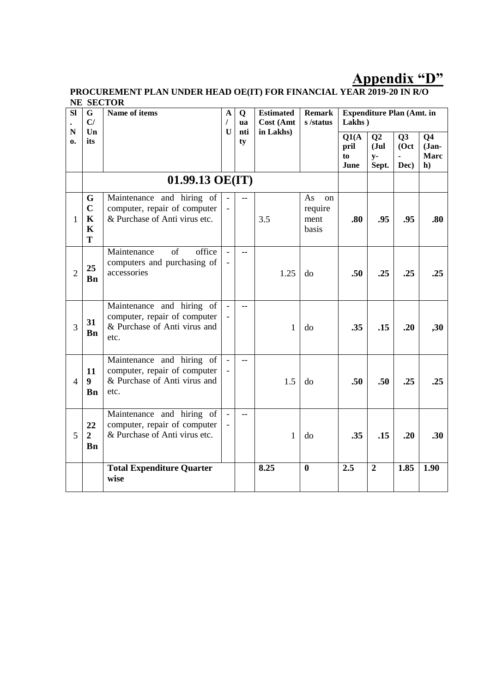# **Appendix "D"**

#### **PROCUREMENT PLAN UNDER HEAD OE(IT) FOR FINANCIAL YEAR 2019-20 IN R/O NE SECTOR**

| <b>SI</b><br>${\bf N}$ | G<br>C/                                             | Name of items                                                                                     | A<br>T       | Q<br><b>ua</b> | <b>Estimated</b><br>Cost (Amt | <b>Remark</b><br>s/status                       | Lakhs)                      | <b>Expenditure Plan (Amt. in</b>       |                     |                                               |
|------------------------|-----------------------------------------------------|---------------------------------------------------------------------------------------------------|--------------|----------------|-------------------------------|-------------------------------------------------|-----------------------------|----------------------------------------|---------------------|-----------------------------------------------|
| 0.                     | $\mathbf{U}\mathbf{n}$<br>its                       |                                                                                                   | $\mathbf{U}$ | nti<br>ty      | in Lakhs)                     |                                                 | Q1(A)<br>pril<br>to<br>June | Q <sub>2</sub><br>Jul<br>$y-$<br>Sept. | Q3<br>(Oct)<br>Dec) | Q <sub>4</sub><br>$Jan-$<br><b>Marc</b><br>h) |
|                        |                                                     | 01.99.13 OE(IT)                                                                                   |              |                |                               |                                                 |                             |                                        |                     |                                               |
| 1                      | G<br>$\mathbf C$<br>$\mathbf K$<br>$\mathbf K$<br>T | Maintenance and hiring of<br>computer, repair of computer<br>& Purchase of Anti virus etc.        |              |                | 3.5                           | As<br><sub>on</sub><br>require<br>ment<br>basis | .80                         | .95                                    | .95                 | .80                                           |
| $\overline{2}$         | 25<br><b>Bn</b>                                     | Maintenance<br>of<br>office<br>computers and purchasing of<br>accessories                         |              | $-$            | 1.25                          | do                                              | .50                         | .25                                    | .25                 | .25                                           |
| 3                      | 31<br><b>B</b> n                                    | Maintenance and hiring of<br>computer, repair of computer<br>& Purchase of Anti virus and<br>etc. |              | $-$            | 1                             | do                                              | .35                         | .15                                    | .20                 | ,30                                           |
| $\overline{4}$         | 11<br>$\boldsymbol{9}$<br><b>B</b> n                | Maintenance and hiring of<br>computer, repair of computer<br>& Purchase of Anti virus and<br>etc. |              | $-$            | 1.5                           | do                                              | .50                         | .50                                    | .25                 | .25                                           |
| 5                      | 22<br>$\overline{2}$<br><b>Bn</b>                   | Maintenance and hiring of<br>computer, repair of computer<br>& Purchase of Anti virus etc.        |              | $\overline{a}$ | 1                             | do                                              | .35                         | .15                                    | .20                 | .30 <sub>1</sub>                              |
|                        |                                                     | <b>Total Expenditure Quarter</b><br>wise                                                          |              |                | 8.25                          | $\bf{0}$                                        | 2.5                         | $\overline{2}$                         | 1.85                | 1.90                                          |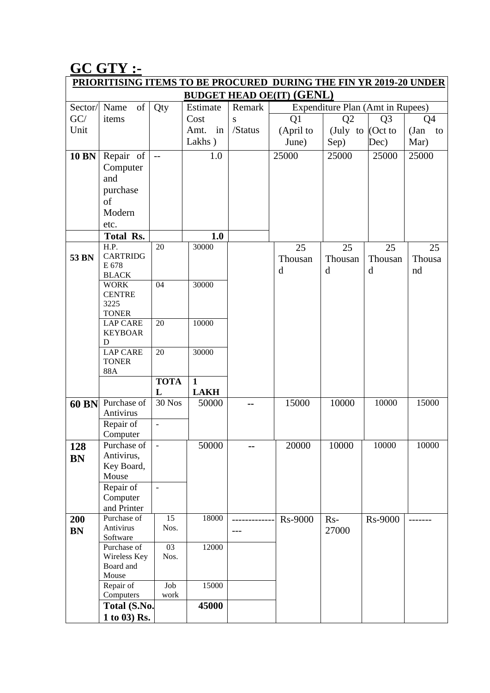# **GC GTY :-**

| <b>PRIORITISING ITEMS TO BE PROCURED DURING THE FIN YR 2019-20 UNDER</b> |                                 |                          |              |         |                                  |                                  |                |                |  |  |  |  |
|--------------------------------------------------------------------------|---------------------------------|--------------------------|--------------|---------|----------------------------------|----------------------------------|----------------|----------------|--|--|--|--|
|                                                                          |                                 |                          |              |         | <b>BUDGET HEAD OE(IT) (GENL)</b> |                                  |                |                |  |  |  |  |
| Sector/                                                                  | of<br>Name                      | Qty                      | Estimate     | Remark  |                                  | Expenditure Plan (Amt in Rupees) |                |                |  |  |  |  |
| GC/                                                                      | items                           |                          | Cost         | S       | Q1                               | Q2                               | Q <sub>3</sub> | Q <sub>4</sub> |  |  |  |  |
| Unit                                                                     |                                 |                          | Amt.<br>in   | /Status | (April to                        | (July to                         | $\int$ (Oct to | (Jan<br>to     |  |  |  |  |
|                                                                          |                                 |                          | Lakhs)       |         | June)                            | Sep)                             | Dec)           | Mar)           |  |  |  |  |
|                                                                          |                                 |                          |              |         |                                  |                                  |                |                |  |  |  |  |
| <b>10 BN</b>                                                             | Repair of                       | $\overline{\phantom{m}}$ | 1.0          |         | 25000                            | 25000                            | 25000          | 25000          |  |  |  |  |
|                                                                          | Computer                        |                          |              |         |                                  |                                  |                |                |  |  |  |  |
|                                                                          | and                             |                          |              |         |                                  |                                  |                |                |  |  |  |  |
|                                                                          | purchase                        |                          |              |         |                                  |                                  |                |                |  |  |  |  |
|                                                                          | of                              |                          |              |         |                                  |                                  |                |                |  |  |  |  |
|                                                                          | Modern                          |                          |              |         |                                  |                                  |                |                |  |  |  |  |
|                                                                          | etc.                            |                          |              |         |                                  |                                  |                |                |  |  |  |  |
|                                                                          | Total Rs.                       |                          | 1.0          |         |                                  |                                  |                |                |  |  |  |  |
|                                                                          | H.P.                            | 20                       | 30000        |         | 25                               | 25                               | 25             | 25             |  |  |  |  |
| 53 BN                                                                    | <b>CARTRIDG</b>                 |                          |              |         | Thousan                          | Thousan                          | Thousan        | Thousa         |  |  |  |  |
|                                                                          | E 678                           |                          |              |         | $\mathbf d$                      | d                                | $\mathbf d$    | nd             |  |  |  |  |
|                                                                          | <b>BLACK</b>                    |                          |              |         |                                  |                                  |                |                |  |  |  |  |
|                                                                          | <b>WORK</b>                     | 04                       | 30000        |         |                                  |                                  |                |                |  |  |  |  |
|                                                                          | <b>CENTRE</b>                   |                          |              |         |                                  |                                  |                |                |  |  |  |  |
|                                                                          | 3225                            |                          |              |         |                                  |                                  |                |                |  |  |  |  |
|                                                                          | <b>TONER</b><br><b>LAP CARE</b> | 20                       | 10000        |         |                                  |                                  |                |                |  |  |  |  |
|                                                                          | <b>KEYBOAR</b>                  |                          |              |         |                                  |                                  |                |                |  |  |  |  |
|                                                                          | D                               |                          |              |         |                                  |                                  |                |                |  |  |  |  |
|                                                                          | <b>LAP CARE</b>                 | 20                       | 30000        |         |                                  |                                  |                |                |  |  |  |  |
|                                                                          | <b>TONER</b>                    |                          |              |         |                                  |                                  |                |                |  |  |  |  |
|                                                                          | 88A                             |                          |              |         |                                  |                                  |                |                |  |  |  |  |
|                                                                          |                                 | <b>TOTA</b>              | $\mathbf{1}$ |         |                                  |                                  |                |                |  |  |  |  |
|                                                                          |                                 | L                        | <b>LAKH</b>  |         |                                  |                                  |                |                |  |  |  |  |
| <b>60 BN</b>                                                             | Purchase of                     | <b>30 Nos</b>            | 50000        | --      | 15000                            | 10000                            | 10000          | 15000          |  |  |  |  |
|                                                                          | Antivirus                       |                          |              |         |                                  |                                  |                |                |  |  |  |  |
|                                                                          | Repair of                       | $\overline{a}$           |              |         |                                  |                                  |                |                |  |  |  |  |
|                                                                          | Computer                        |                          |              |         |                                  |                                  |                |                |  |  |  |  |
| 128                                                                      | Purchase of                     | $\blacksquare$           | 50000        | $-$     | 20000                            | 10000                            | 10000          | 10000          |  |  |  |  |
| <b>BN</b>                                                                | Antivirus,                      |                          |              |         |                                  |                                  |                |                |  |  |  |  |
|                                                                          | Key Board,                      |                          |              |         |                                  |                                  |                |                |  |  |  |  |
|                                                                          | Mouse                           |                          |              |         |                                  |                                  |                |                |  |  |  |  |
|                                                                          | Repair of                       | $\overline{\phantom{m}}$ |              |         |                                  |                                  |                |                |  |  |  |  |
|                                                                          | Computer                        |                          |              |         |                                  |                                  |                |                |  |  |  |  |
|                                                                          | and Printer                     |                          |              |         |                                  |                                  |                |                |  |  |  |  |
| 200                                                                      | Purchase of                     | 15                       | 18000        |         | <b>Rs-9000</b>                   | $Rs-$                            | <b>Rs-9000</b> |                |  |  |  |  |
| <b>BN</b>                                                                | Antivirus<br>Software           | Nos.                     |              | $---$   |                                  | 27000                            |                |                |  |  |  |  |
|                                                                          | Purchase of                     | $\overline{03}$          | 12000        |         |                                  |                                  |                |                |  |  |  |  |
|                                                                          | Wireless Key                    | Nos.                     |              |         |                                  |                                  |                |                |  |  |  |  |
|                                                                          | Board and                       |                          |              |         |                                  |                                  |                |                |  |  |  |  |
|                                                                          | Mouse                           |                          |              |         |                                  |                                  |                |                |  |  |  |  |
|                                                                          | Repair of                       | Job                      | 15000        |         |                                  |                                  |                |                |  |  |  |  |
|                                                                          | Computers                       | work                     |              |         |                                  |                                  |                |                |  |  |  |  |
|                                                                          | Total (S.No.                    |                          | 45000        |         |                                  |                                  |                |                |  |  |  |  |
|                                                                          | 1 to 03) Rs.                    |                          |              |         |                                  |                                  |                |                |  |  |  |  |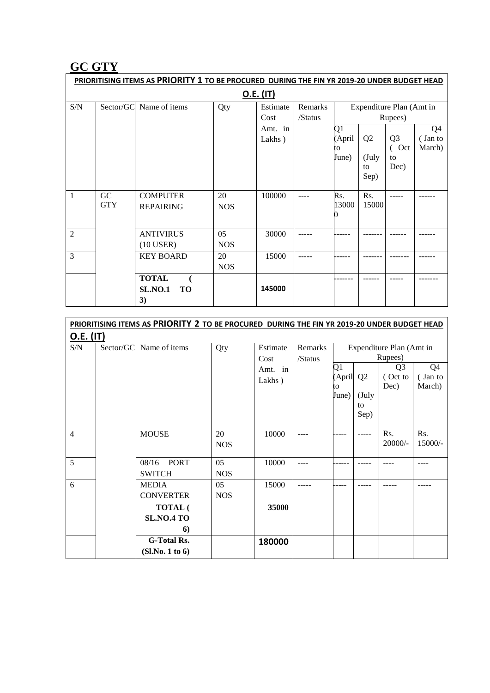# **GC GTY**

|                | PRIORITISING ITEMS AS PRIORITY 1 TO BE PROCURED DURING THE FIN YR 2019-20 UNDER BUDGET HEAD |                                |            |          |         |        |                |                          |                |  |  |  |  |  |
|----------------|---------------------------------------------------------------------------------------------|--------------------------------|------------|----------|---------|--------|----------------|--------------------------|----------------|--|--|--|--|--|
|                | <u>O.E. (IT)</u>                                                                            |                                |            |          |         |        |                |                          |                |  |  |  |  |  |
| S/N            | Sector/GC                                                                                   | Name of items                  | Qty        | Estimate | Remarks |        |                | Expenditure Plan (Amt in |                |  |  |  |  |  |
|                |                                                                                             |                                |            | Cost     | /Status |        | Rupees)        |                          |                |  |  |  |  |  |
|                |                                                                                             |                                |            | Amt. in  |         | Q1     |                |                          | Q <sub>4</sub> |  |  |  |  |  |
|                |                                                                                             |                                |            | Lakhs)   |         | (April | Q <sub>2</sub> | Q <sub>3</sub>           | (Jan to        |  |  |  |  |  |
|                |                                                                                             |                                |            |          |         | to     |                | $\overline{C}$ Oct       | March)         |  |  |  |  |  |
|                |                                                                                             |                                |            |          |         | June)  | (July<br>to    | to<br>Dec)               |                |  |  |  |  |  |
|                |                                                                                             |                                |            |          |         |        | Sep)           |                          |                |  |  |  |  |  |
|                |                                                                                             |                                |            |          |         |        |                |                          |                |  |  |  |  |  |
| 1              | GC                                                                                          | <b>COMPUTER</b>                | 20         | 100000   |         | Rs.    | Rs.            |                          |                |  |  |  |  |  |
|                | <b>GTY</b>                                                                                  | <b>REPAIRING</b>               | <b>NOS</b> |          |         | 13000  | 15000          |                          |                |  |  |  |  |  |
|                |                                                                                             |                                |            |          |         |        |                |                          |                |  |  |  |  |  |
| $\overline{2}$ |                                                                                             | <b>ANTIVIRUS</b>               | 05         | 30000    |         |        |                |                          |                |  |  |  |  |  |
|                |                                                                                             | $(10$ USER)                    | <b>NOS</b> |          |         |        |                |                          |                |  |  |  |  |  |
| 3              |                                                                                             | <b>KEY BOARD</b>               | 20         | 15000    | -----   |        |                |                          |                |  |  |  |  |  |
|                |                                                                                             |                                | <b>NOS</b> |          |         |        |                |                          |                |  |  |  |  |  |
|                |                                                                                             | <b>TOTAL</b><br>$\overline{ }$ |            |          |         |        |                |                          |                |  |  |  |  |  |
|                |                                                                                             | <b>SL.NO.1</b><br><b>TO</b>    |            | 145000   |         |        |                |                          |                |  |  |  |  |  |
|                |                                                                                             | 3)                             |            |          |         |        |                |                          |                |  |  |  |  |  |

|                | PRIORITISING ITEMS AS PRIORITY 2 TO BE PROCURED DURING THE FIN YR 2019-20 UNDER BUDGET HEAD |                                           |                  |                                       |                    |                             |                               |                                                                          |                                     |  |  |  |
|----------------|---------------------------------------------------------------------------------------------|-------------------------------------------|------------------|---------------------------------------|--------------------|-----------------------------|-------------------------------|--------------------------------------------------------------------------|-------------------------------------|--|--|--|
| O.E. (IT)      |                                                                                             |                                           |                  |                                       |                    |                             |                               |                                                                          |                                     |  |  |  |
| S/N            | Sector/GC                                                                                   | Name of items                             | Qty              | Estimate<br>Cost<br>Amt. in<br>Lakhs) | Remarks<br>/Status | Q1<br>(April<br>to<br>June) | Q <sub>2</sub><br>(July<br>to | Expenditure Plan (Amt in<br>Rupees)<br>Q <sub>3</sub><br>(Oct to<br>Dec) | Q <sub>4</sub><br>(Jan to<br>March) |  |  |  |
| $\overline{4}$ |                                                                                             | <b>MOUSE</b>                              | 20<br><b>NOS</b> | 10000                                 |                    |                             | Sep)                          | Rs.<br>$20000/-$                                                         | Rs.<br>$15000/-$                    |  |  |  |
| 5              |                                                                                             | 08/16<br><b>PORT</b><br><b>SWITCH</b>     | 05<br><b>NOS</b> | 10000                                 | ----               |                             |                               |                                                                          |                                     |  |  |  |
| 6              |                                                                                             | <b>MEDIA</b><br><b>CONVERTER</b>          | 05<br><b>NOS</b> | 15000                                 |                    |                             |                               |                                                                          |                                     |  |  |  |
|                |                                                                                             | <b>TOTAL</b> (<br><b>SL.NO.4 TO</b><br>6) |                  | 35000                                 |                    |                             |                               |                                                                          |                                     |  |  |  |
|                |                                                                                             | <b>G-Total Rs.</b><br>(Sl.No. 1 to 6)     |                  | 180000                                |                    |                             |                               |                                                                          |                                     |  |  |  |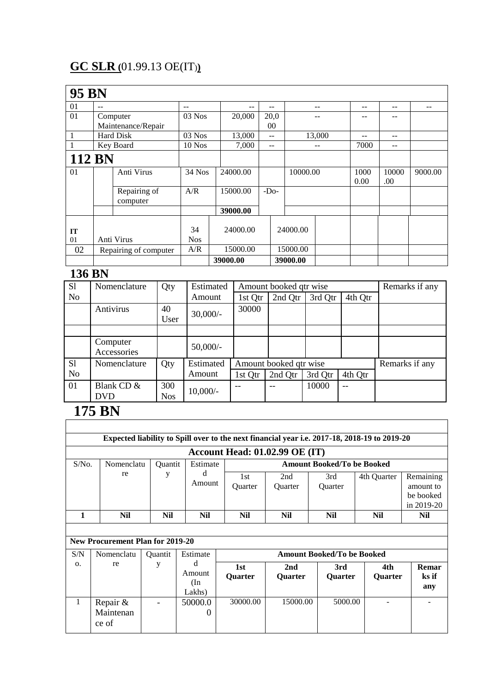# **GC SLR (**01.99.13 OE(IT)**)**

| <b>95 BN</b>  |                    |                                          |            |          |          |       |          |        |      |       |         |
|---------------|--------------------|------------------------------------------|------------|----------|----------|-------|----------|--------|------|-------|---------|
| 01            | $-$                |                                          | $-$        | --       | $- -$    |       |          | --     | --   | --    |         |
| 01            |                    | Computer                                 | $03$ Nos   | 20,000   | 20,0     |       |          |        | --   | --    |         |
|               | Maintenance/Repair |                                          |            |          |          | 00    |          |        |      |       |         |
|               | Hard Disk          |                                          | $03$ Nos   | 13,000   |          | $- -$ |          | 13,000 | --   | $- -$ |         |
|               | Key Board          |                                          | $10$ Nos   | 7,000    | --       |       |          | --     | 7000 | $- -$ |         |
| <b>112 BN</b> |                    |                                          |            |          |          |       |          |        |      |       |         |
| 01            |                    | Anti Virus                               | $34$ Nos   | 24000.00 |          |       | 10000.00 |        | 1000 | 10000 | 9000.00 |
|               |                    |                                          |            |          |          |       |          |        | 0.00 | .00   |         |
|               |                    | Repairing of<br>computer                 | A/R        | 15000.00 | $-DO$    |       |          |        |      |       |         |
|               |                    |                                          |            | 39000.00 |          |       |          |        |      |       |         |
| IT            |                    |                                          | 34         | 24000.00 |          |       | 24000.00 |        |      |       |         |
| 01            |                    | Anti Virus                               | <b>Nos</b> |          |          |       |          |        |      |       |         |
| 02            |                    | A/R<br>15000.00<br>Repairing of computer |            |          | 15000.00 |       |          |        |      |       |         |
|               |                    |                                          |            | 39000.00 |          |       | 39000.00 |        |      |       |         |

### **136 BN**

| S1        | Nomenclature            | Qty        | Estimated  |         | Amount booked qtr wise |         |         | Remarks if any |
|-----------|-------------------------|------------|------------|---------|------------------------|---------|---------|----------------|
| <b>No</b> |                         |            | Amount     | 1st Qtr | 2nd Qtr                | 3rd Qtr | 4th Qtr |                |
|           | Antivirus               | 40         |            | 30000   |                        |         |         |                |
|           |                         | User       | $30,000/-$ |         |                        |         |         |                |
|           |                         |            |            |         |                        |         |         |                |
|           | Computer<br>Accessories |            | $50,000/-$ |         |                        |         |         |                |
| S1        | Nomenclature            | Qty        | Estimated  |         | Amount booked qtr wise |         |         | Remarks if any |
| No        |                         |            | Amount     | 1st Qtr | 2nd Qtr                | 3rd Qtr | 4th Qtr |                |
| 01        | Blank CD &              | 300        | $10,000/-$ |         |                        | 10000   |         |                |
|           | <b>DVD</b>              | <b>Nos</b> |            |         |                        |         |         |                |

٦

# **175 BN**

 $\mathsf{r}$ 

|            |                                  |                |                                 |                                                                                                        | Expected liability to Spill over to the next financial year i.e. 2017-18, 2018-19 to 2019-20 |                                   |                       |                       |  |
|------------|----------------------------------|----------------|---------------------------------|--------------------------------------------------------------------------------------------------------|----------------------------------------------------------------------------------------------|-----------------------------------|-----------------------|-----------------------|--|
|            |                                  |                |                                 |                                                                                                        | <b>Account Head: 01.02.99 OE (IT)</b>                                                        |                                   |                       |                       |  |
| $S/N0$ .   | Nomenclatu                       | <b>Ouantit</b> | Estimate                        |                                                                                                        |                                                                                              | <b>Amount Booked/To be Booked</b> |                       |                       |  |
|            | d<br>re<br>у<br>Amount           |                | 1st<br>Quarter                  | 2nd<br>3rd<br>Remaining<br>4th Quarter<br>Quarter<br>Quarter<br>amount to<br>be booked<br>in $2019-20$ |                                                                                              |                                   |                       |                       |  |
| 1          | <b>Nil</b>                       | Nil            | Nil                             | <b>Nil</b>                                                                                             | Nil                                                                                          | <b>Nil</b>                        | <b>Nil</b>            | Nil                   |  |
|            |                                  |                |                                 |                                                                                                        |                                                                                              |                                   |                       |                       |  |
|            | New Procurement Plan for 2019-20 |                |                                 |                                                                                                        |                                                                                              |                                   |                       |                       |  |
| S/N        | Nomenclatu                       | <b>Ouantit</b> | Estimate                        |                                                                                                        |                                                                                              | <b>Amount Booked/To be Booked</b> |                       |                       |  |
| $\Omega$ . | re                               | y              | d<br>Amount<br>$(\ln$<br>Lakhs) | 1st<br><b>Ouarter</b>                                                                                  | 2nd<br><b>Ouarter</b>                                                                        | 3rd<br><b>Ouarter</b>             | 4th<br><b>Ouarter</b> | Remar<br>ks if<br>any |  |
| 1          | Repair &<br>Maintenan<br>ce of   |                | 50000.0<br>$\theta$             | 30000.00                                                                                               | 15000.00                                                                                     | 5000.00                           |                       |                       |  |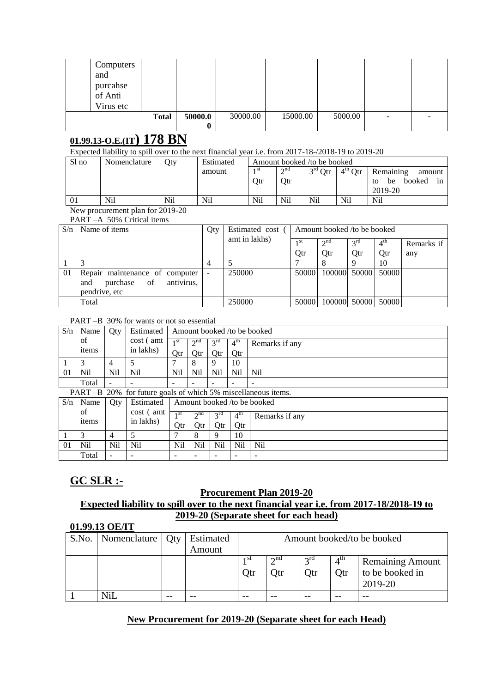| Computers<br>and<br>purcahse<br>of Anti<br>Virus etc |              |         |          |          |         |  |
|------------------------------------------------------|--------------|---------|----------|----------|---------|--|
|                                                      | <b>Total</b> | 50000.0 | 30000.00 | 15000.00 | 5000.00 |  |
|                                                      |              |         |          |          |         |  |

### **01.99.13-O.E.(IT) 178 BN**

Expected liability to spill over to the next financial year i.e. from 2017-18-/2018-19 to 2019-20

| Sl no | Nomenclature | Otv | Estimated | Amount booked /to be booked |           |           |                     |                          |  |  |  |  |  |
|-------|--------------|-----|-----------|-----------------------------|-----------|-----------|---------------------|--------------------------|--|--|--|--|--|
|       |              |     | amount    | 1 St                        | $\sim$ nd | $3rd$ Qtr | $4^{\text{th}}$ Qtr | Remaining<br>amount      |  |  |  |  |  |
|       |              |     |           | Otr                         | Otr       |           |                     | booked<br>be<br>1n<br>to |  |  |  |  |  |
|       |              |     |           |                             |           |           |                     | 2019-20                  |  |  |  |  |  |
| 01    | Nil          | Nil | Nil       | Nil                         | Nil       | Nil       | Nil                 | Nil                      |  |  |  |  |  |

New procurement plan for 2019-20

PART –A 50% Critical items

| S/n            | Name of <i>items</i>             | Qty | Estimated cost ( | Amount booked /to be booked |                    |                 |                 |            |  |  |
|----------------|----------------------------------|-----|------------------|-----------------------------|--------------------|-----------------|-----------------|------------|--|--|
|                |                                  |     | amt in lakhs)    | 1 <sup>st</sup>             | $\gamma$ nd        | $2^{\text{rd}}$ | $4^{\text{in}}$ | Remarks if |  |  |
|                |                                  |     |                  | Qtr                         | Otr                | Otr             | Otr             | any        |  |  |
|                |                                  |     |                  |                             |                    |                 | 10              |            |  |  |
| 0 <sub>1</sub> | Repair maintenance of computer   |     | 250000           | 50000                       | 100000 50000       |                 | 50000           |            |  |  |
|                | purchase of<br>antivirus,<br>and |     |                  |                             |                    |                 |                 |            |  |  |
|                | pendrive, etc                    |     |                  |                             |                    |                 |                 |            |  |  |
|                | Total                            |     | 250000           | 50000                       | 100000 50000 50000 |                 |                 |            |  |  |

#### PART –B 30% for wants or not so essential

| S/n | Name  | Oty                      | Estimated   Amount booked / to be booked |            |           |                 |                 |                |
|-----|-------|--------------------------|------------------------------------------|------------|-----------|-----------------|-----------------|----------------|
|     | of    |                          | cost (amt)                               | 1 st       | $\sim$ nd | 2 <sup>rd</sup> | 4 <sup>th</sup> | Remarks if any |
|     | items |                          | in lakhs)                                | Otr        | Otr       | Otr             | Otr             |                |
|     |       | 4                        |                                          |            |           |                 | 10              |                |
| 01  | Nil   | Nil                      | Nil                                      | <b>Nil</b> | Nil       | Nil             | Nil             | Nil            |
|     | Total | $\overline{\phantom{a}}$ |                                          | -          | -         | -               | -               | -              |

PART –B 20% for future goals of which 5% miscellaneous items.

| S/n | Name        | Oty |                            | Estimated   Amount booked / to be booked |                |                 |                 |                |  |  |  |  |
|-----|-------------|-----|----------------------------|------------------------------------------|----------------|-----------------|-----------------|----------------|--|--|--|--|
|     | of<br>items |     | cost (<br>amt<br>in lakhs) | st                                       | $\sim$ nd      | $2^{\text{rd}}$ | $4^{\text{th}}$ | Remarks if any |  |  |  |  |
|     |             |     |                            | Otr                                      | Эtr            | Otr             | Otr             |                |  |  |  |  |
|     |             |     |                            |                                          |                | $\Omega$        | 10              |                |  |  |  |  |
| 01  | <b>Nil</b>  | Nil | Nil                        | Nil                                      | N <sub>i</sub> | Nil             | Nil             | Nil            |  |  |  |  |
|     | Total       | -   |                            | $\overline{\phantom{a}}$                 |                | -               | -               |                |  |  |  |  |

### **GC SLR :-**

# **Procurement Plan 2019-20**

### **Expected liability to spill over to the next financial year i.e. from 2017-18/2018-19 to 2019-20 (Separate sheet for each head)**

| 01.99.13 OE/IT |                    |  |                     |                            |                            |                        |                        |                                                       |
|----------------|--------------------|--|---------------------|----------------------------|----------------------------|------------------------|------------------------|-------------------------------------------------------|
| S.No.          | Nomenclature   Qty |  | Estimated<br>Amount | Amount booked/to be booked |                            |                        |                        |                                                       |
|                |                    |  |                     | 1 SU<br>Qtr                | $\gamma$ nd<br><b>)</b> tr | $2^{\text{rd}}$<br>Otr | 4 <sup>th</sup><br>Otr | <b>Remaining Amount</b><br>to be booked in<br>2019-20 |
|                | NiI                |  |                     |                            |                            |                        |                        | --                                                    |

#### **New Procurement for 2019-20 (Separate sheet for each Head)**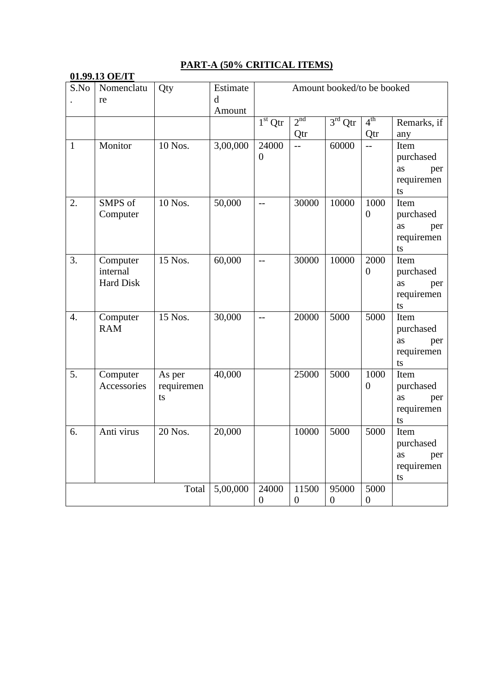### **01.99.13 OE/IT**

### **PART-A (50% CRITICAL ITEMS)**

| S.No             | 01,77,13 OE/LL<br>Nomenclatu<br>re       | Estimate<br>d<br>Amount    | Amount booked/to be booked |                         |                         |                           |                          |                                                    |
|------------------|------------------------------------------|----------------------------|----------------------------|-------------------------|-------------------------|---------------------------|--------------------------|----------------------------------------------------|
|                  |                                          |                            |                            | $1st$ Qtr               | 2 <sup>nd</sup><br>Qtr  | $3rd$ Qtr                 | 4 <sup>th</sup><br>Qtr   | Remarks, if<br>any                                 |
| $\mathbf{1}$     | Monitor                                  | 10 Nos.                    | 3,00,000                   | 24000<br>$\overline{0}$ | $\overline{a}$          | 60000                     | $\overline{a}$           | Item<br>purchased<br>as<br>per<br>requiremen<br>ts |
| 2.               | SMPS of<br>Computer                      | 10 Nos.                    | 50,000                     | $-$                     | 30000                   | 10000                     | 1000<br>$\overline{0}$   | Item<br>purchased<br>as<br>per<br>requiremen<br>ts |
| 3.               | Computer<br>internal<br><b>Hard Disk</b> | 15 Nos.                    | 60,000                     | $-$                     | 30000                   | 10000                     | 2000<br>$\overline{0}$   | Item<br>purchased<br>as<br>per<br>requiremen<br>ts |
| $\overline{4}$ . | Computer<br><b>RAM</b>                   | 15 Nos.                    | 30,000                     | $-$                     | 20000                   | 5000                      | 5000                     | Item<br>purchased<br>as<br>per<br>requiremen<br>ts |
| 5.               | Computer<br>Accessories                  | As per<br>requiremen<br>ts | 40,000                     |                         | 25000                   | 5000                      | 1000<br>$\overline{0}$   | Item<br>purchased<br>as<br>per<br>requiremen<br>ts |
| 6.               | Anti virus                               | 20 Nos.                    | 20,000                     |                         | 10000                   | 5000                      | 5000                     | Item<br>purchased<br>as<br>per<br>requiremen<br>ts |
|                  |                                          | Total                      | 5,00,000                   | 24000<br>$\overline{0}$ | 11500<br>$\overline{0}$ | 95000<br>$\boldsymbol{0}$ | 5000<br>$\boldsymbol{0}$ |                                                    |